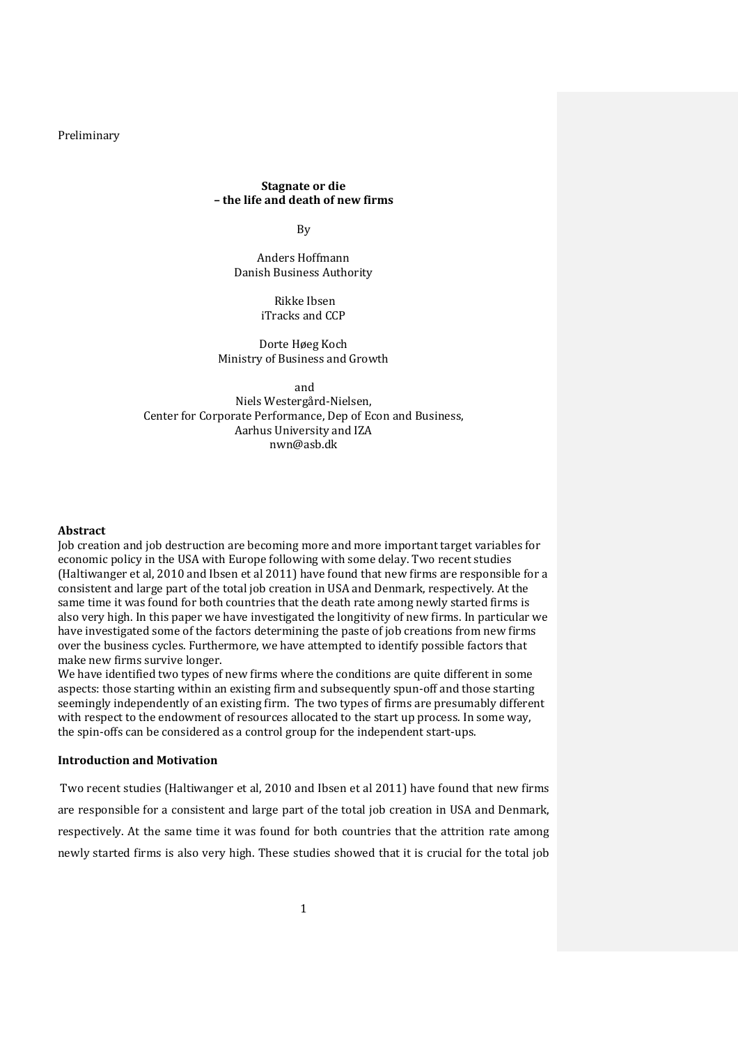# **Stagnate or die – the life and death of new firms**

By

Anders Hoffmann Danish Business Authority

> Rikke Ibsen iTracks and CCP

Dorte Høeg Koch Ministry of Business and Growth

and Niels Westergård-Nielsen, Center for Corporate Performance, Dep of Econ and Business, Aarhus University and IZA nwn@asb.dk

### **Abstract**

Job creation and job destruction are becoming more and more important target variables for economic policy in the USA with Europe following with some delay. Two recent studies (Haltiwanger et al, 2010 and Ibsen et al 2011) have found that new firms are responsible for a consistent and large part of the total job creation in USA and Denmark, respectively. At the same time it was found for both countries that the death rate among newly started firms is also very high. In this paper we have investigated the longitivity of new firms. In particular we have investigated some of the factors determining the paste of job creations from new firms over the business cycles. Furthermore, we have attempted to identify possible factors that make new firms survive longer.

We have identified two types of new firms where the conditions are quite different in some aspects: those starting within an existing firm and subsequently spun-off and those starting seemingly independently of an existing firm. The two types of firms are presumably different with respect to the endowment of resources allocated to the start up process. In some way, the spin-offs can be considered as a control group for the independent start-ups.

### **Introduction and Motivation**

Two recent studies (Haltiwanger et al, 2010 and Ibsen et al 2011) have found that new firms are responsible for a consistent and large part of the total job creation in USA and Denmark, respectively. At the same time it was found for both countries that the attrition rate among newly started firms is also very high. These studies showed that it is crucial for the total job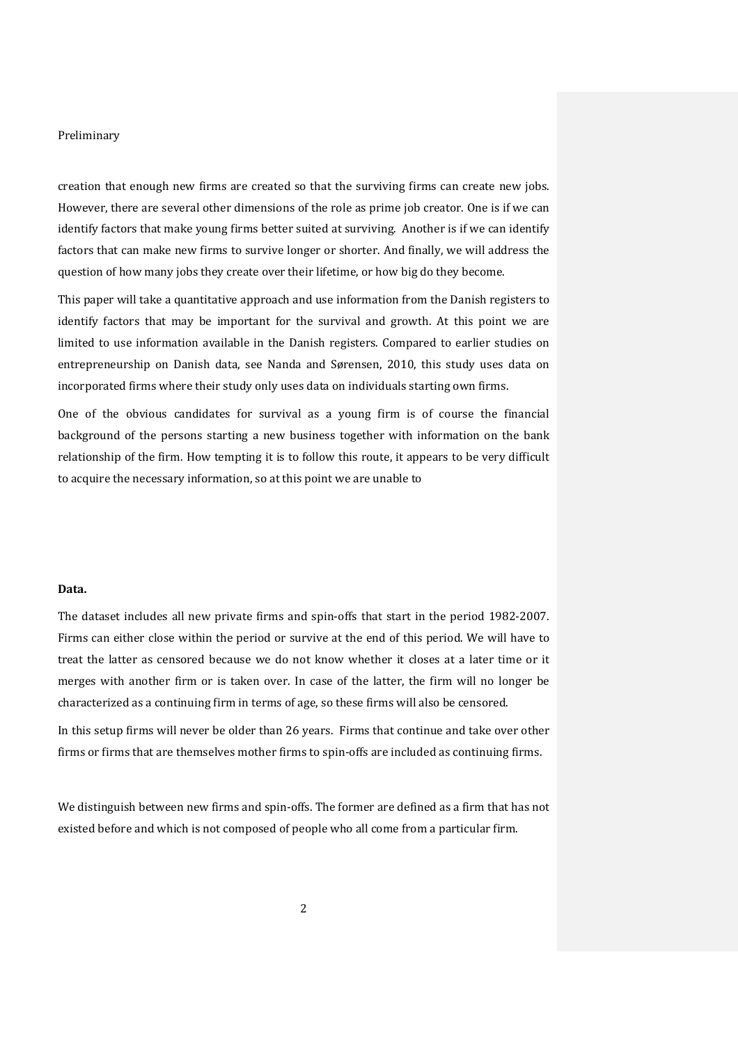creation that enough new firms are created so that the surviving firms can create new jobs. However, there are several other dimensions of the role as prime job creator. One is if we can identify factors that make young firms better suited at surviving. Another is if we can identify factors that can make new firms to survive longer or shorter. And finally, we will address the question of how many jobs they create over their lifetime, or how big do they become.

This paper will take a quantitative approach and use information from the Danish registers to identify factors that may be important for the survival and growth. At this point we are limited to use information available in the Danish registers. Compared to earlier studies on entrepreneurship on Danish data, see Nanda and Sørensen, 2010, this study uses data on incorporated firms where their study only uses data on individuals starting own firms.

One of the obvious candidates for survival as a young firm is of course the financial background of the persons starting a new business together with information on the bank relationship of the firm. How tempting it is to follow this route, it appears to be very difficult to acquire the necessary information, so at this point we are unable to

# **Data.**

The dataset includes all new private firms and spin-offs that start in the period 1982-2007. Firms can either close within the period or survive at the end of this period. We will have to treat the latter as censored because we do not know whether it closes at a later time or it merges with another firm or is taken over. In case of the latter, the firm will no longer be characterized as a continuing firm in terms of age, so these firms will also be censored.

In this setup firms will never be older than 26 years. Firms that continue and take over other firms or firms that are themselves mother firms to spin-offs are included as continuing firms.

We distinguish between new firms and spin-offs. The former are defined as a firm that has not existed before and which is not composed of people who all come from a particular firm.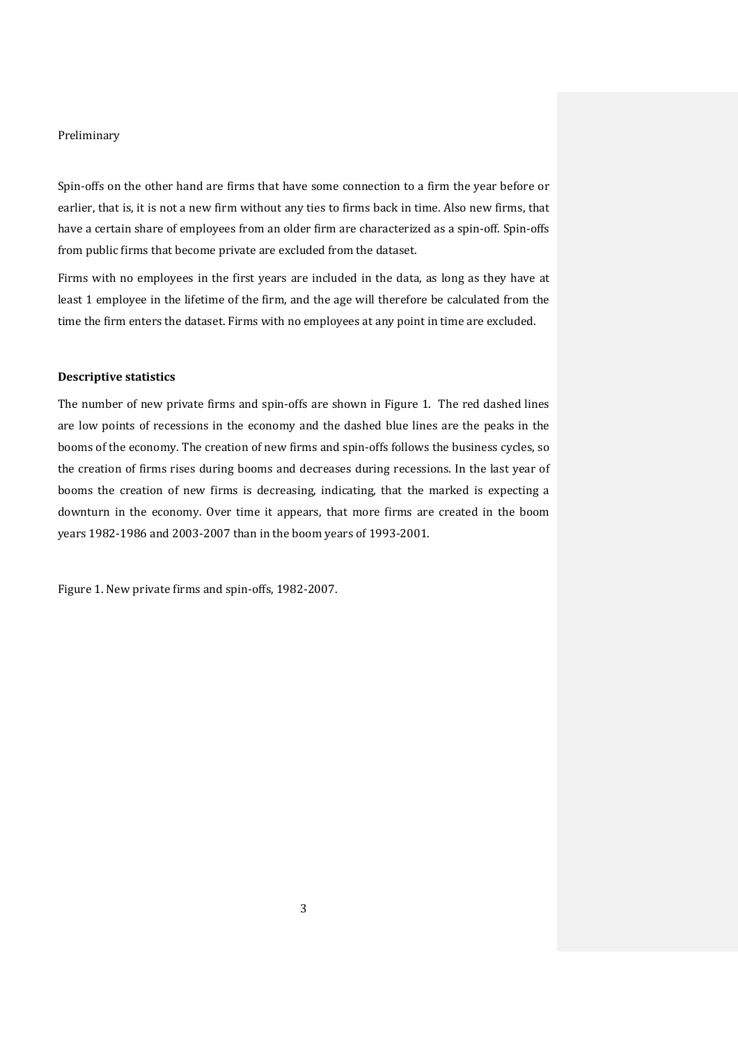Spin-offs on the other hand are firms that have some connection to a firm the year before or earlier, that is, it is not a new firm without any ties to firms back in time. Also new firms, that have a certain share of employees from an older firm are characterized as a spin-off. Spin-offs from public firms that become private are excluded from the dataset.

Firms with no employees in the first years are included in the data, as long as they have at least 1 employee in the lifetime of the firm, and the age will therefore be calculated from the time the firm enters the dataset. Firms with no employees at any point in time are excluded.

# **Descriptive statistics**

The number of new private firms and spin-offs are shown in Figure 1. The red dashed lines are low points of recessions in the economy and the dashed blue lines are the peaks in the booms of the economy. The creation of new firms and spin-offs follows the business cycles, so the creation of firms rises during booms and decreases during recessions. In the last year of booms the creation of new firms is decreasing, indicating, that the marked is expecting a downturn in the economy. Over time it appears, that more firms are created in the boom years 1982-1986 and 2003-2007 than in the boom years of 1993-2001.

Figure 1. New private firms and spin-offs, 1982-2007.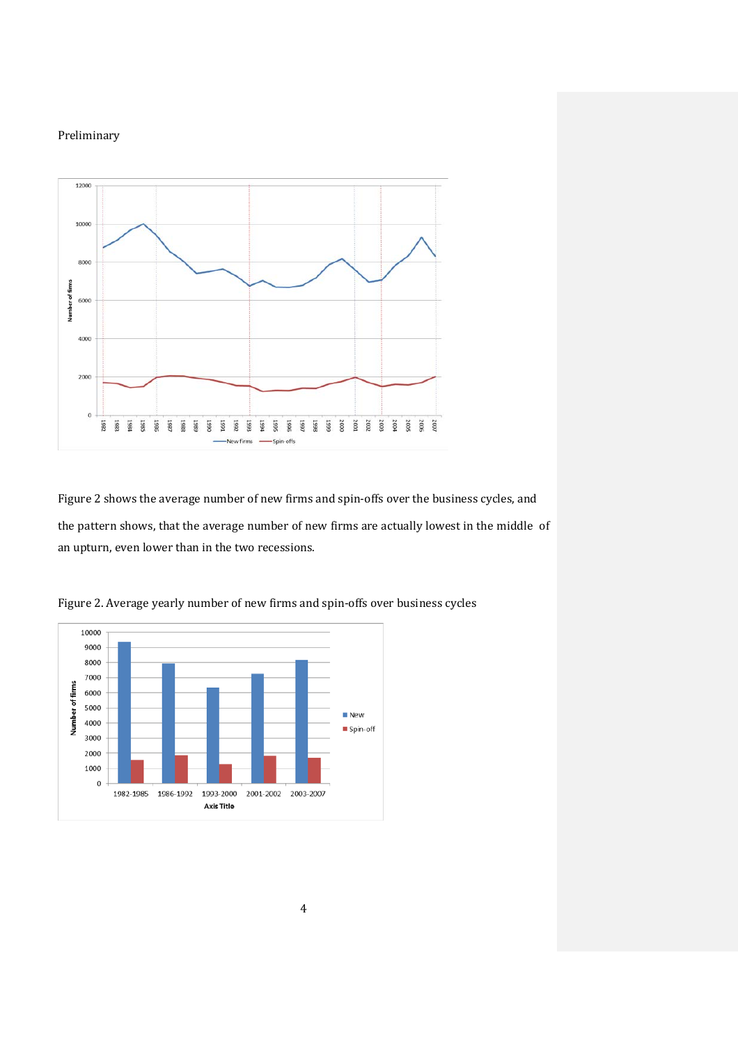

Figure 2 shows the average number of new firms and spin-offs over the business cycles, and the pattern shows, that the average number of new firms are actually lowest in the middle of an upturn, even lower than in the two recessions.



Figure 2. Average yearly number of new firms and spin-offs over business cycles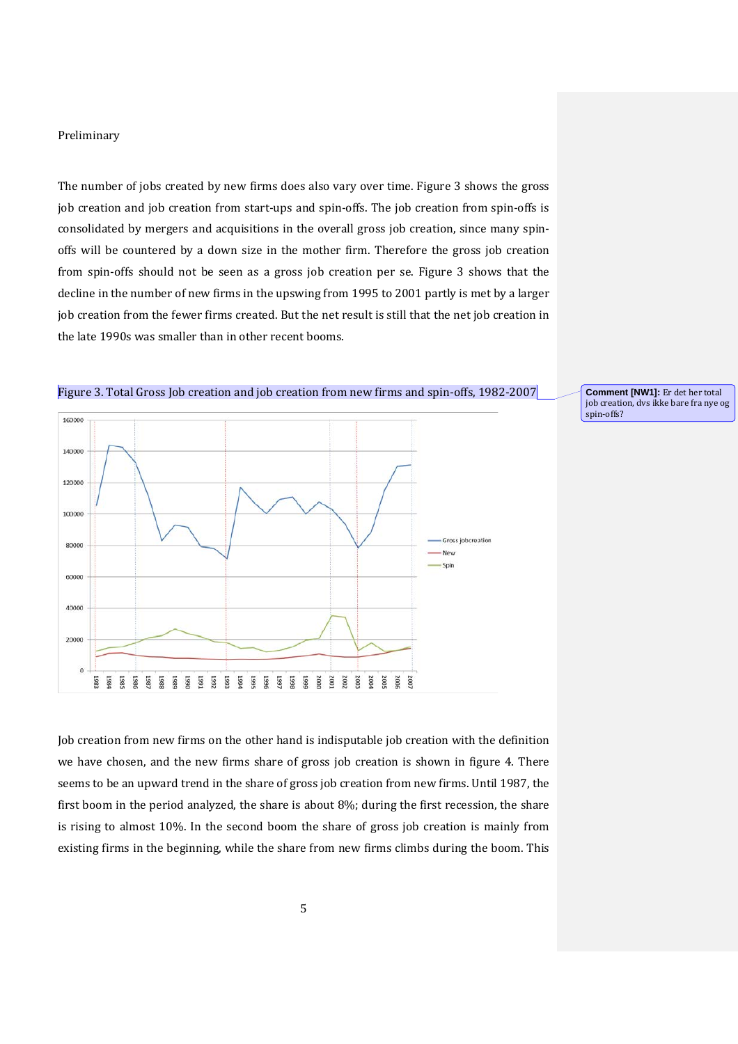The number of jobs created by new firms does also vary over time. Figure 3 shows the gross job creation and job creation from start-ups and spin-offs. The job creation from spin-offs is consolidated by mergers and acquisitions in the overall gross job creation, since many spinoffs will be countered by a down size in the mother firm. Therefore the gross job creation from spin-offs should not be seen as a gross job creation per se. Figure 3 shows that the decline in the number of new firms in the upswing from 1995 to 2001 partly is met by a larger job creation from the fewer firms created. But the net result is still that the net job creation in the late 1990s was smaller than in other recent booms.



Figure 3. Total Gross Job creation and job creation from new firms and spin-offs, 1982-2007

Job creation from new firms on the other hand is indisputable job creation with the definition we have chosen, and the new firms share of gross job creation is shown in figure 4. There seems to be an upward trend in the share of gross job creation from new firms. Until 1987, the first boom in the period analyzed, the share is about 8%; during the first recession, the share is rising to almost 10%. In the second boom the share of gross job creation is mainly from existing firms in the beginning, while the share from new firms climbs during the boom. This **Comment [NW1]:** Er det her total job creation, dvs ikke bare fra nye og spin-offs?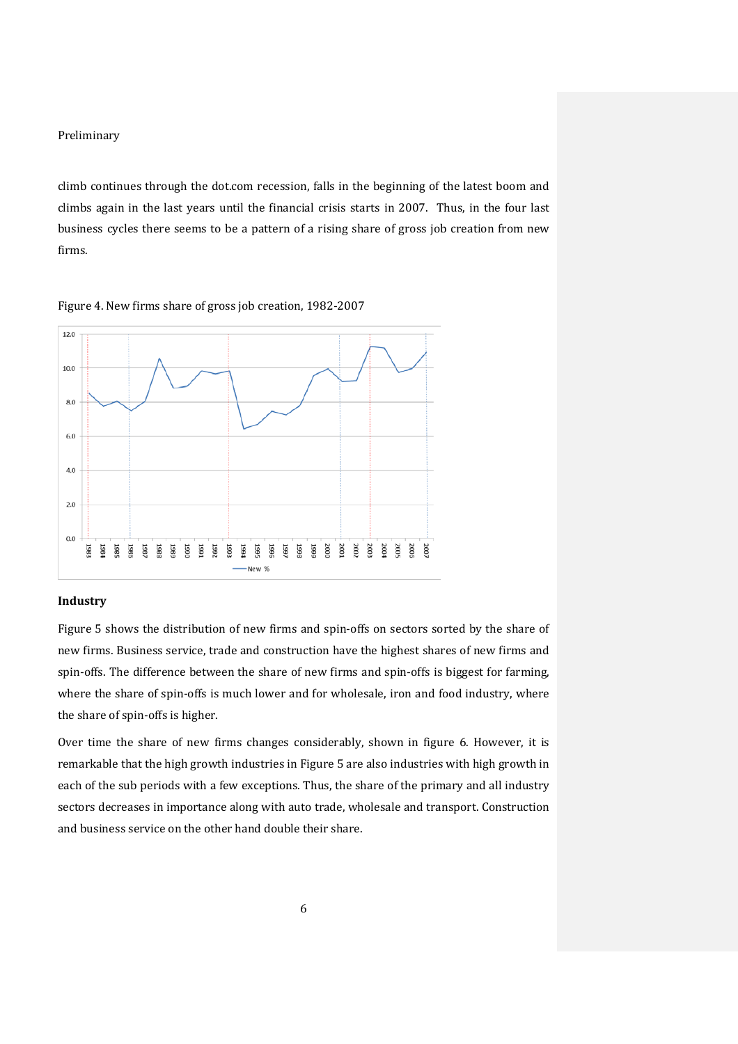climb continues through the dot.com recession, falls in the beginning of the latest boom and climbs again in the last years until the financial crisis starts in 2007. Thus, in the four last business cycles there seems to be a pattern of a rising share of gross job creation from new firms.





### **Industry**

Figure 5 shows the distribution of new firms and spin-offs on sectors sorted by the share of new firms. Business service, trade and construction have the highest shares of new firms and spin-offs. The difference between the share of new firms and spin-offs is biggest for farming, where the share of spin-offs is much lower and for wholesale, iron and food industry, where the share of spin-offs is higher.

Over time the share of new firms changes considerably, shown in figure 6. However, it is remarkable that the high growth industries in Figure 5 are also industries with high growth in each of the sub periods with a few exceptions. Thus, the share of the primary and all industry sectors decreases in importance along with auto trade, wholesale and transport. Construction and business service on the other hand double their share.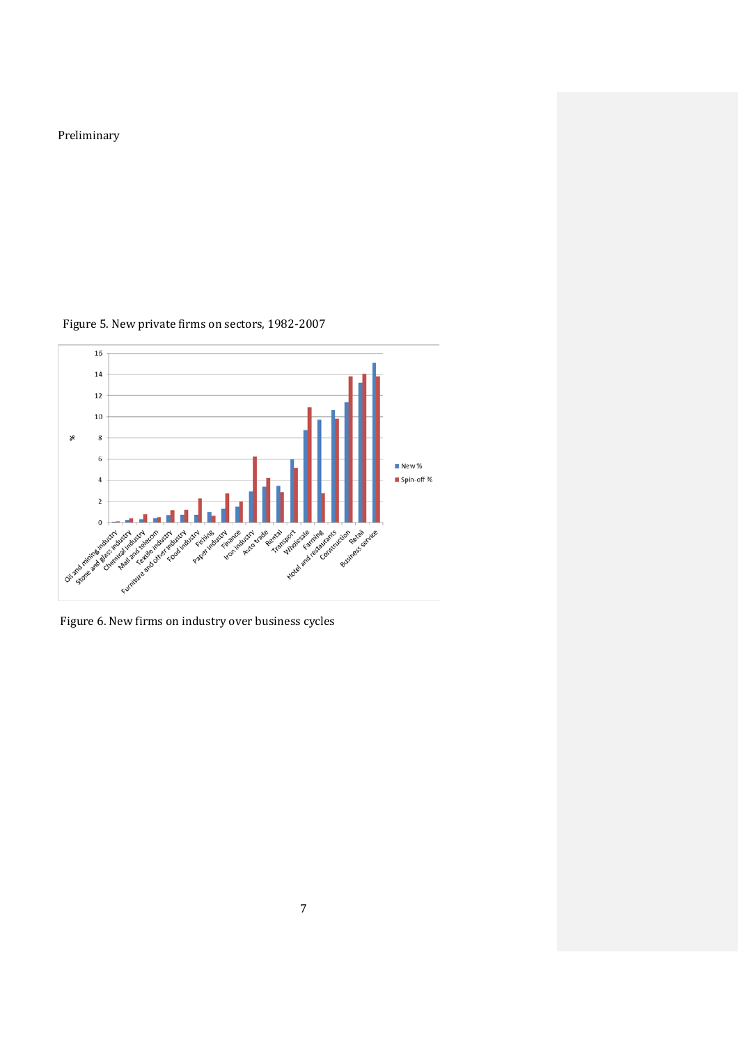

Figure 5. New private firms on sectors, 1982-2007

Figure 6. New firms on industry over business cycles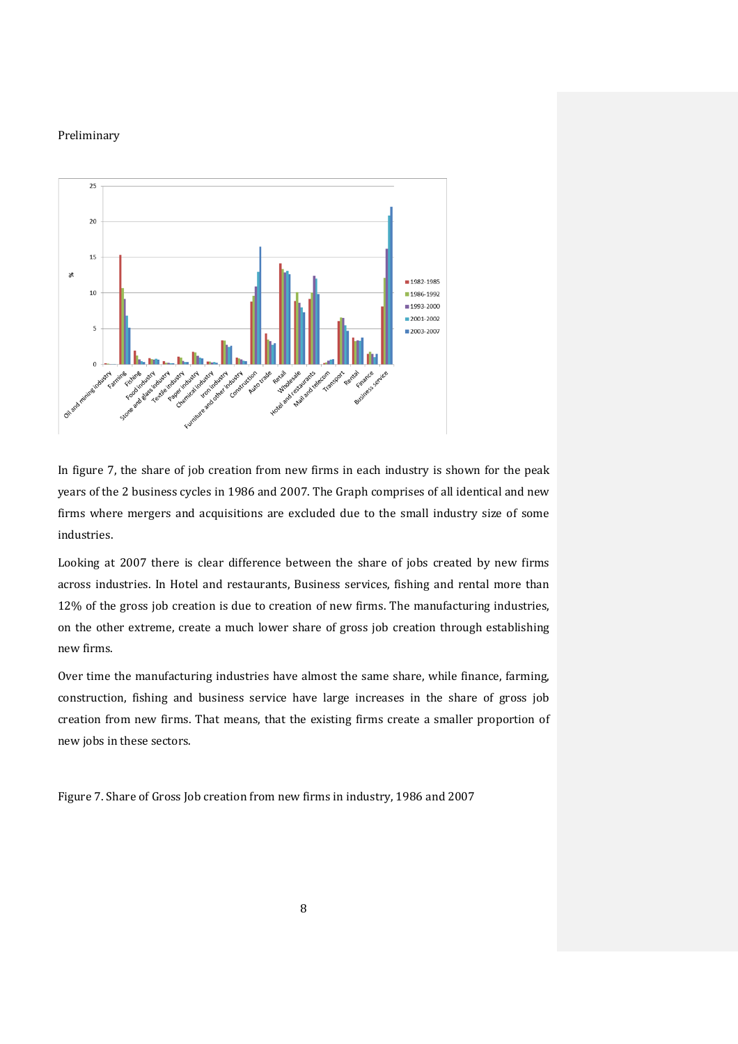

In figure 7, the share of job creation from new firms in each industry is shown for the peak years of the 2 business cycles in 1986 and 2007. The Graph comprises of all identical and new firms where mergers and acquisitions are excluded due to the small industry size of some industries.

Looking at 2007 there is clear difference between the share of jobs created by new firms across industries. In Hotel and restaurants, Business services, fishing and rental more than 12% of the gross job creation is due to creation of new firms. The manufacturing industries, on the other extreme, create a much lower share of gross job creation through establishing new firms.

Over time the manufacturing industries have almost the same share, while finance, farming, construction, fishing and business service have large increases in the share of gross job creation from new firms. That means, that the existing firms create a smaller proportion of new jobs in these sectors.

Figure 7. Share of Gross Job creation from new firms in industry, 1986 and 2007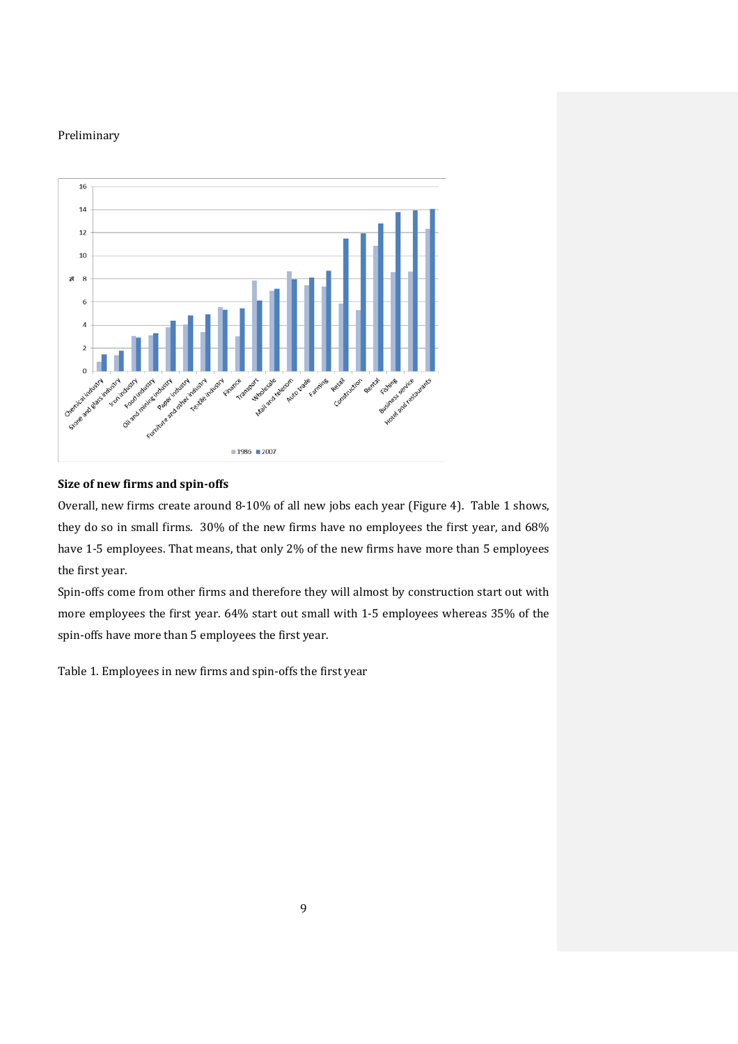

# **Size of new firms and spin-offs**

Overall, new firms create around 8-10% of all new jobs each year (Figure 4). Table 1 shows, they do so in small firms. 30% of the new firms have no employees the first year, and 68% have 1-5 employees. That means, that only 2% of the new firms have more than 5 employees the first year.

Spin-offs come from other firms and therefore they will almost by construction start out with more employees the first year. 64% start out small with 1-5 employees whereas 35% of the spin-offs have more than 5 employees the first year.

Table 1. Employees in new firms and spin-offs the first year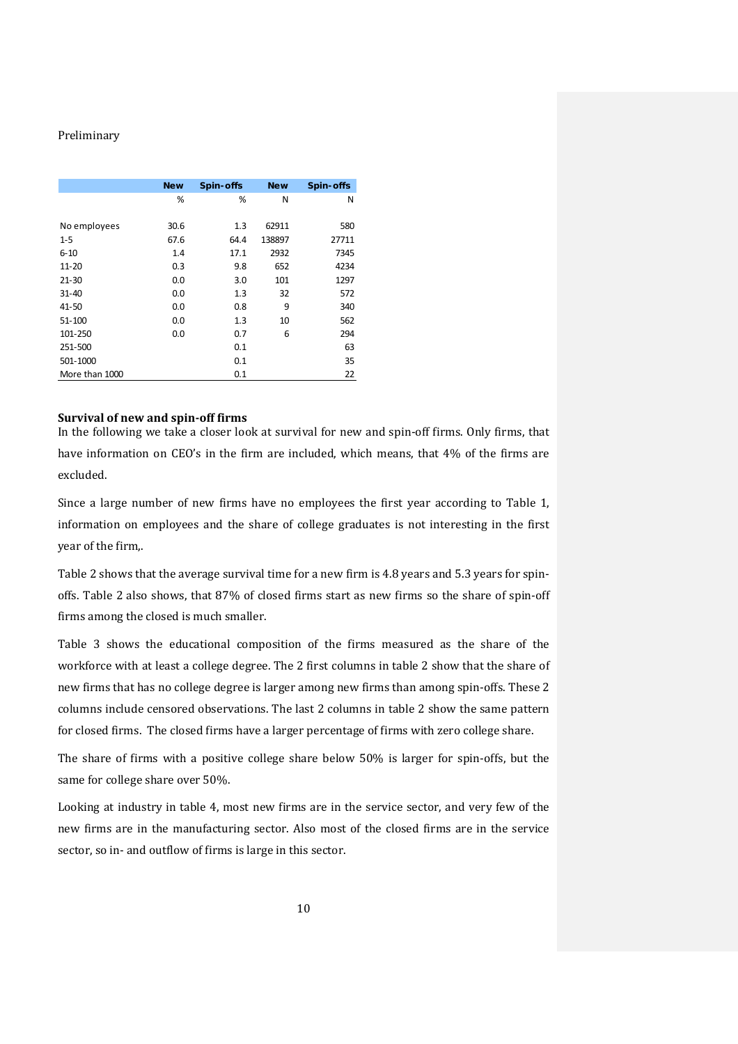|                | <b>New</b> | Spin-offs | <b>New</b> | Spin-offs |
|----------------|------------|-----------|------------|-----------|
|                | %          | %         | N          | N         |
|                |            |           |            |           |
| No employees   | 30.6       | 1.3       | 62911      | 580       |
| $1 - 5$        | 67.6       | 64.4      | 138897     | 27711     |
| $6 - 10$       | 1.4        | 17.1      | 2932       | 7345      |
| $11 - 20$      | 0.3        | 9.8       | 652        | 4234      |
| $21 - 30$      | 0.0        | 3.0       | 101        | 1297      |
| $31 - 40$      | 0.0        | 1.3       | 32         | 572       |
| 41-50          | 0.0        | 0.8       | 9          | 340       |
| 51-100         | 0.0        | 1.3       | 10         | 562       |
| 101-250        | 0.0        | 0.7       | 6          | 294       |
| 251-500        |            | 0.1       |            | 63        |
| 501-1000       |            | 0.1       |            | 35        |
| More than 1000 |            | 0.1       |            | 22        |

### **Survival of new and spin-off firms**

In the following we take a closer look at survival for new and spin-off firms. Only firms, that have information on CEO's in the firm are included, which means, that 4% of the firms are excluded.

Since a large number of new firms have no employees the first year according to Table 1, information on employees and the share of college graduates is not interesting in the first year of the firm,.

Table 2 shows that the average survival time for a new firm is 4.8 years and 5.3 years for spinoffs. Table 2 also shows, that 87% of closed firms start as new firms so the share of spin-off firms among the closed is much smaller.

Table 3 shows the educational composition of the firms measured as the share of the workforce with at least a college degree. The 2 first columns in table 2 show that the share of new firms that has no college degree is larger among new firms than among spin-offs. These 2 columns include censored observations. The last 2 columns in table 2 show the same pattern for closed firms. The closed firms have a larger percentage of firms with zero college share.

The share of firms with a positive college share below 50% is larger for spin-offs, but the same for college share over 50%.

Looking at industry in table 4, most new firms are in the service sector, and very few of the new firms are in the manufacturing sector. Also most of the closed firms are in the service sector, so in- and outflow of firms is large in this sector.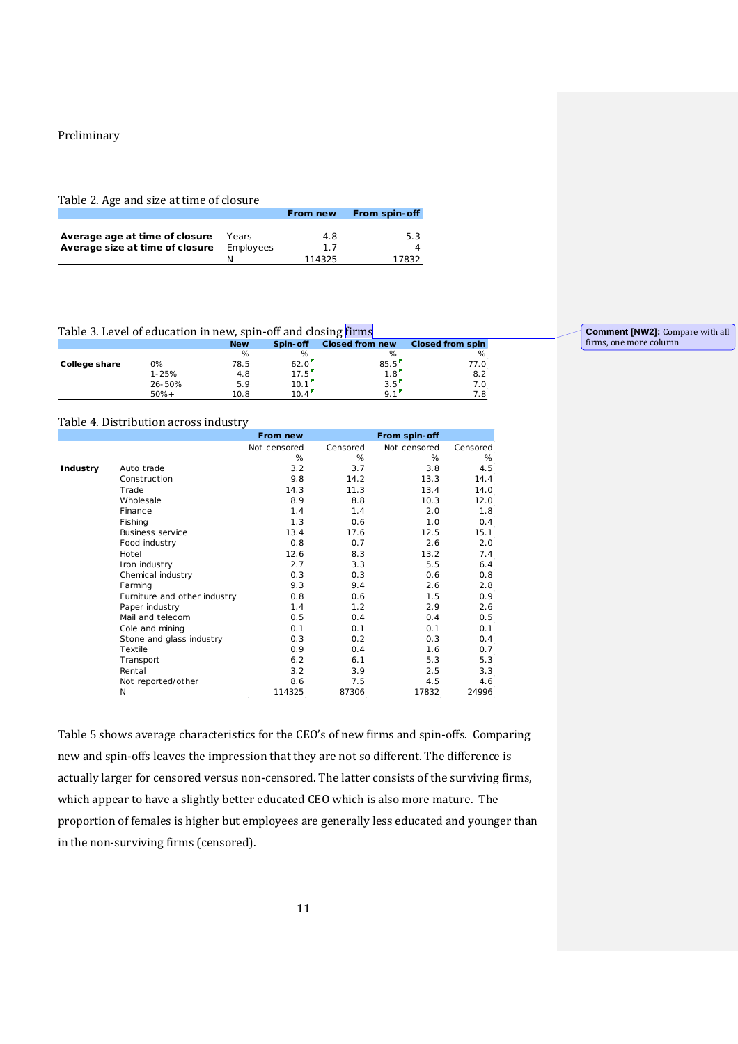### Table 2. Age and size at time of closure

|                                           |       | From new | From spin-off |
|-------------------------------------------|-------|----------|---------------|
|                                           |       |          |               |
| Average age at time of closure            | Years | 4.8      | 5.3           |
| Average size at time of closure Employees |       | 17       |               |
|                                           |       | 114325   | 17832         |

# Table 3. Level of education in new, spin-off and closing firms

|               |           | <b>New</b> | Spin-off | <b>Closed from new</b> | <b>Closed from spin</b> |
|---------------|-----------|------------|----------|------------------------|-------------------------|
|               |           | %          | %        | %                      | %                       |
| College share | 0%        | 78.5       | 62.0     | 85.5'                  | 77.0                    |
|               | $1 - 25%$ | 4.8        | 17.5     | $1.8^{\prime}$         | 8.2                     |
|               | 26-50%    | 5.9        | 10.1     | 3.5                    |                         |
|               | $50%+$    | 10.8       | 10.4     | $Q_1$                  | 7.8                     |

# Table 4. Distribution across industry

|          |                              | <b>From new</b> |          | From spin-off |          |
|----------|------------------------------|-----------------|----------|---------------|----------|
|          |                              | Not censored    | Censored | Not censored  | Censored |
|          |                              | %               | %        | %             | %        |
| Industry | Auto trade                   | 3.2             | 3.7      | 3.8           | 4.5      |
|          | Construction                 | 9.8             | 14.2     | 13.3          | 14.4     |
|          | Trade                        | 14.3            | 11.3     | 13.4          | 14.0     |
|          | Wholesale                    | 8.9             | 8.8      | 10.3          | 12.0     |
|          | Finance                      | 1.4             | 1.4      | 2.0           | 1.8      |
|          | Fishing                      | 1.3             | 0.6      | 1.0           | 0.4      |
|          | <b>Business service</b>      | 13.4            | 17.6     | 12.5          | 15.1     |
|          | Food industry                | 0.8             | 0.7      | 2.6           | 2.0      |
|          | Hotel                        | 12.6            | 8.3      | 13.2          | 7.4      |
|          | Iron industry                | 2.7             | 3.3      | 5.5           | 6.4      |
|          | Chemical industry            | 0.3             | 0.3      | 0.6           | 0.8      |
|          | Farming                      | 9.3             | 9.4      | 2.6           | 2.8      |
|          | Furniture and other industry | 0.8             | 0.6      | 1.5           | 0.9      |
|          | Paper industry               | 1.4             | 1.2      | 2.9           | 2.6      |
|          | Mail and telecom             | 0.5             | 0.4      | 0.4           | 0.5      |
|          | Cole and mining              | 0.1             | 0.1      | 0.1           | 0.1      |
|          | Stone and glass industry     | 0.3             | 0.2      | 0.3           | 0.4      |
|          | Textile                      | 0.9             | 0.4      | 1.6           | 0.7      |
|          | Transport                    | 6.2             | 6.1      | 5.3           | 5.3      |
|          | Rental                       | 3.2             | 3.9      | 2.5           | 3.3      |
|          | Not reported/other           | 8.6             | 7.5      | 4.5           | 4.6      |
|          | N                            | 114325          | 87306    | 17832         | 24996    |

Table 5 shows average characteristics for the CEO's of new firms and spin-offs. Comparing new and spin-offs leaves the impression that they are not so different. The difference is actually larger for censored versus non-censored. The latter consists of the surviving firms, which appear to have a slightly better educated CEO which is also more mature. The proportion of females is higher but employees are generally less educated and younger than in the non-surviving firms (censored).

**Comment [NW2]:** Compare with all firms, one more column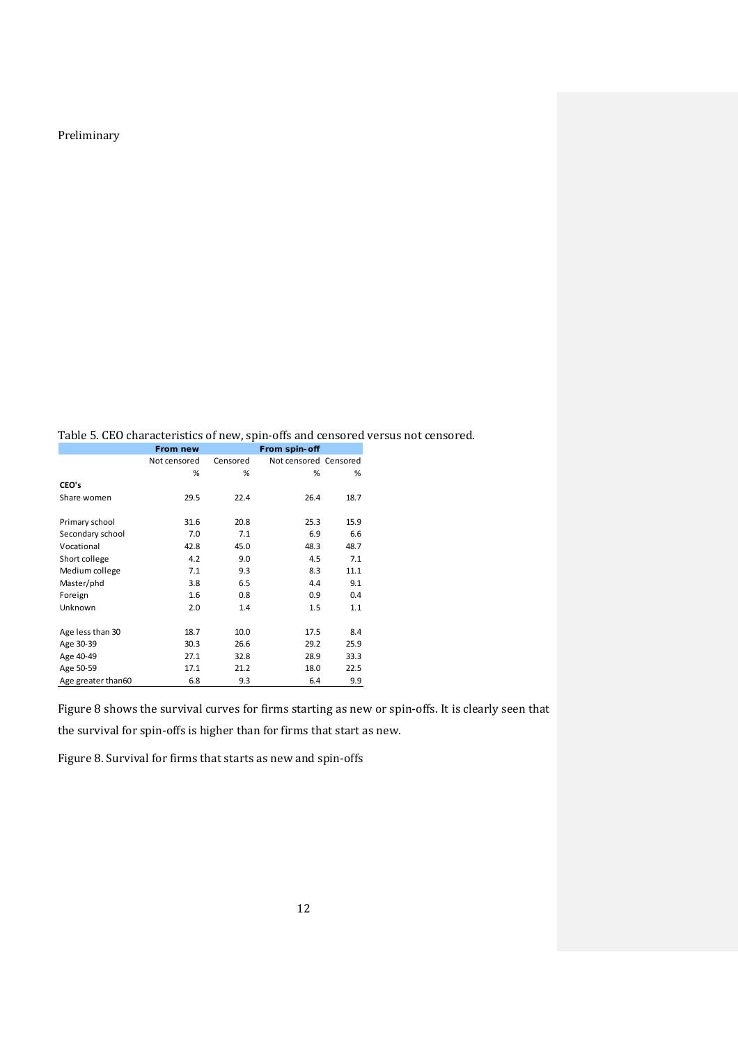Table 5. CEO characteristics of new, spin-offs and censored versus not censored.

|                     | <b>From new</b> |          | From spin-off         |      |
|---------------------|-----------------|----------|-----------------------|------|
|                     | Not censored    | Censored | Not censored Censored |      |
|                     | %               | %        | %                     | ℅    |
| CEO's               |                 |          |                       |      |
| Share women         | 29.5            | 22.4     | 26.4                  | 18.7 |
| Primary school      | 31.6            | 20.8     | 25.3                  | 15.9 |
| Secondary school    | 7.0             | 7.1      | 6.9                   | 6.6  |
|                     | 42.8            | 45.0     |                       | 48.7 |
| Vocational          |                 |          | 48.3                  |      |
| Short college       | 4.2             | 9.0      | 4.5                   | 7.1  |
| Medium college      | 7.1             | 9.3      | 8.3                   | 11.1 |
| Master/phd          | 3.8             | 6.5      | 4.4                   | 9.1  |
| Foreign             | 1.6             | 0.8      | 0.9                   | 0.4  |
| Unknown             | 2.0             | 1.4      | 1.5                   | 1.1  |
| Age less than 30    | 18.7            | 10.0     | 17.5                  | 8.4  |
| Age 30-39           | 30.3            | 26.6     | 29.2                  | 25.9 |
| Age 40-49           | 27.1            | 32.8     | 28.9                  | 33.3 |
| Age 50-59           | 17.1            | 21.2     | 18.0                  | 22.5 |
| Age greater than 60 | 6.8             | 9.3      | 6.4                   | 9.9  |

Figure 8 shows the survival curves for firms starting as new or spin-offs. It is clearly seen that the survival for spin-offs is higher than for firms that start as new.

Figure 8. Survival for firms that starts as new and spin-offs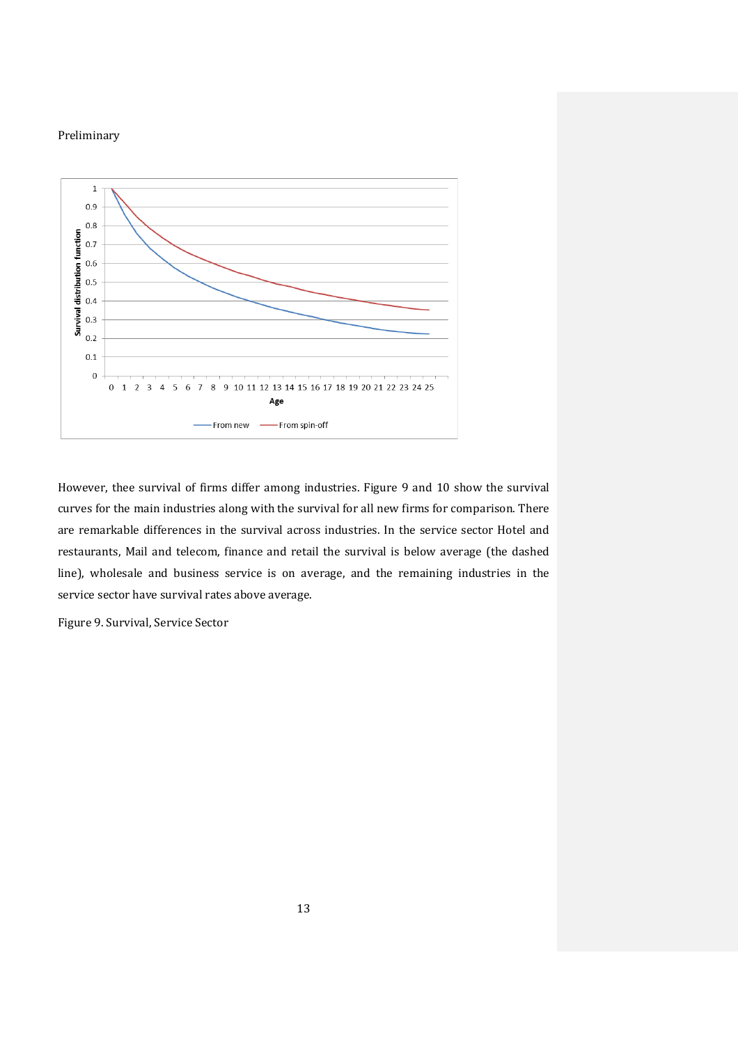

However, thee survival of firms differ among industries. Figure 9 and 10 show the survival curves for the main industries along with the survival for all new firms for comparison. There are remarkable differences in the survival across industries. In the service sector Hotel and restaurants, Mail and telecom, finance and retail the survival is below average (the dashed line), wholesale and business service is on average, and the remaining industries in the service sector have survival rates above average.

Figure 9. Survival, Service Sector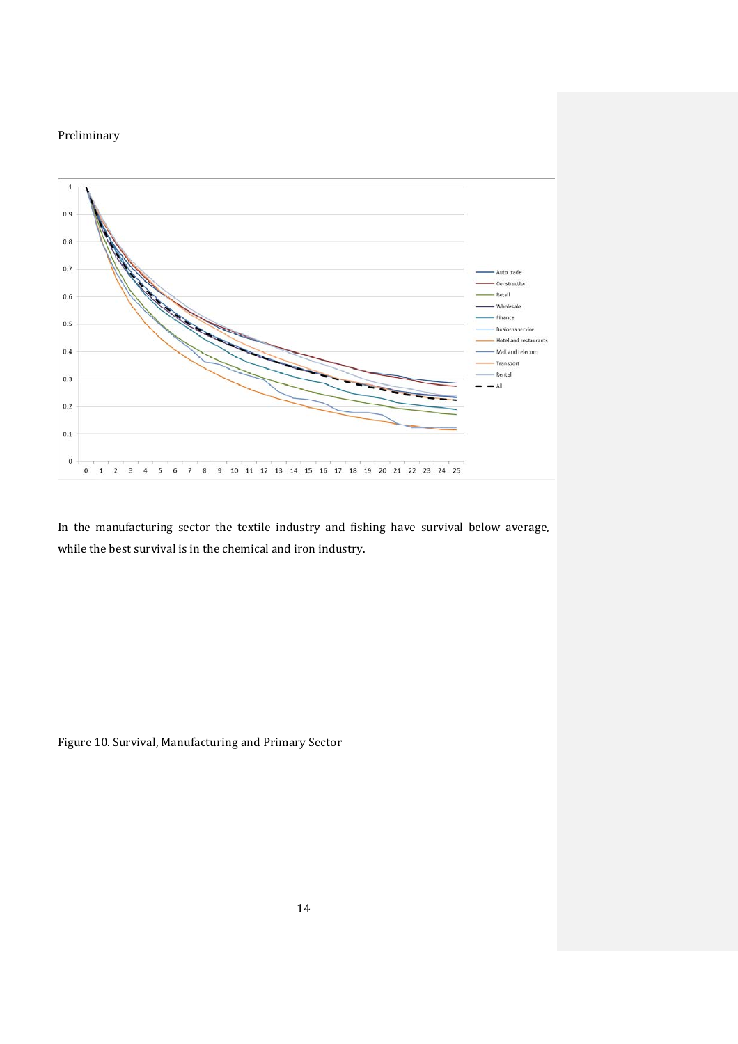

In the manufacturing sector the textile industry and fishing have survival below average, while the best survival is in the chemical and iron industry.

Figure 10. Survival, Manufacturing and Primary Sector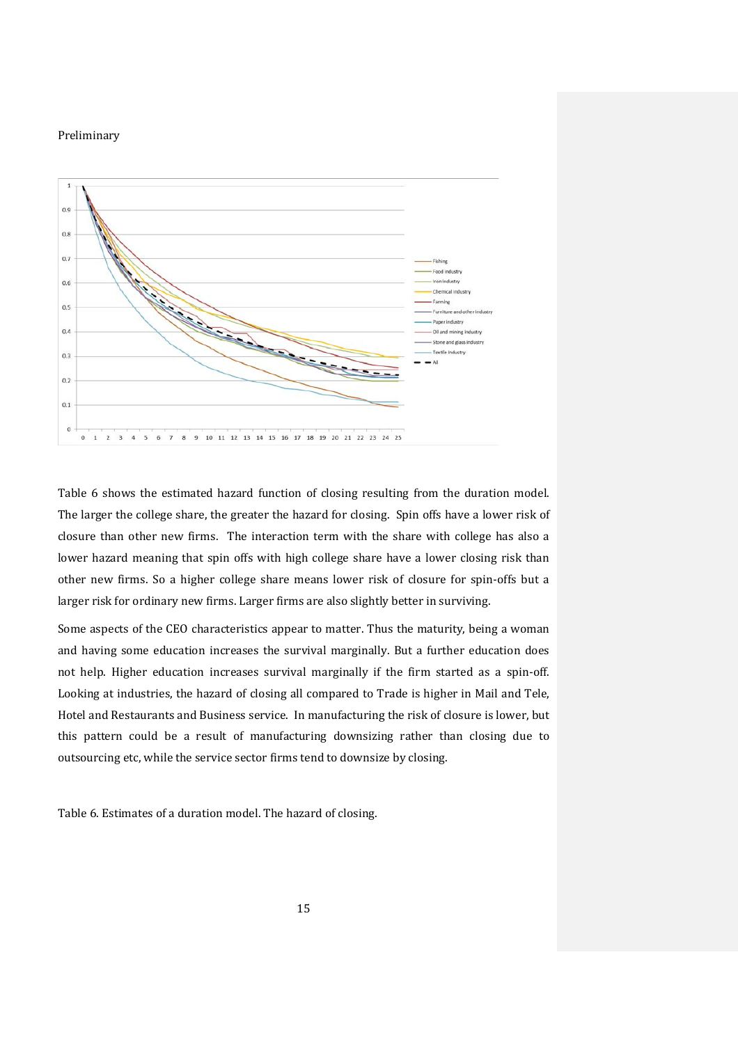

Table 6 shows the estimated hazard function of closing resulting from the duration model. The larger the college share, the greater the hazard for closing. Spin offs have a lower risk of closure than other new firms. The interaction term with the share with college has also a lower hazard meaning that spin offs with high college share have a lower closing risk than other new firms. So a higher college share means lower risk of closure for spin-offs but a larger risk for ordinary new firms. Larger firms are also slightly better in surviving.

Some aspects of the CEO characteristics appear to matter. Thus the maturity, being a woman and having some education increases the survival marginally. But a further education does not help. Higher education increases survival marginally if the firm started as a spin-off. Looking at industries, the hazard of closing all compared to Trade is higher in Mail and Tele, Hotel and Restaurants and Business service. In manufacturing the risk of closure is lower, but this pattern could be a result of manufacturing downsizing rather than closing due to outsourcing etc, while the service sector firms tend to downsize by closing.

Table 6. Estimates of a duration model. The hazard of closing.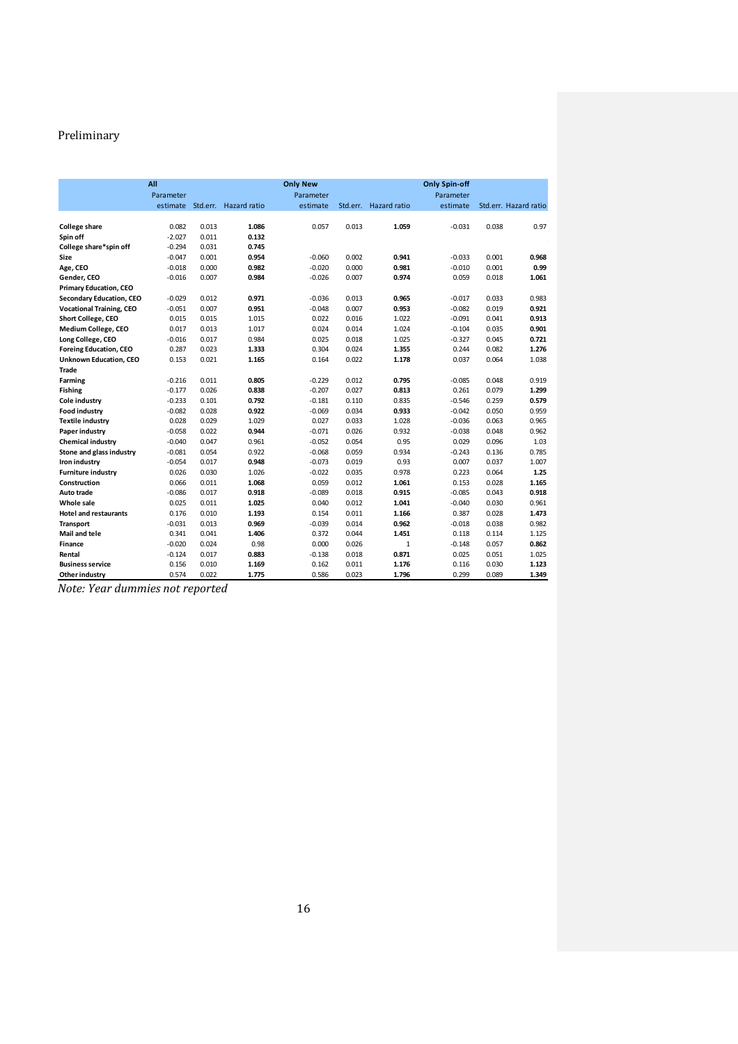|                                 | All       |       |                                | <b>Only New</b> |       |                       | <b>Only Spin-off</b> |       |                       |
|---------------------------------|-----------|-------|--------------------------------|-----------------|-------|-----------------------|----------------------|-------|-----------------------|
|                                 | Parameter |       |                                | Parameter       |       |                       | Parameter            |       |                       |
|                                 |           |       | estimate Std.err. Hazard ratio | estimate        |       | Std.err. Hazard ratio | estimate             |       | Std.err. Hazard ratio |
|                                 |           |       |                                |                 |       |                       |                      |       |                       |
| <b>College share</b>            | 0.082     | 0.013 | 1.086                          | 0.057           | 0.013 | 1.059                 | $-0.031$             | 0.038 | 0.97                  |
| Spin off                        | $-2.027$  | 0.011 | 0.132                          |                 |       |                       |                      |       |                       |
| College share*spin off          | $-0.294$  | 0.031 | 0.745                          |                 |       |                       |                      |       |                       |
| Size                            | $-0.047$  | 0.001 | 0.954                          | $-0.060$        | 0.002 | 0.941                 | $-0.033$             | 0.001 | 0.968                 |
| Age, CEO                        | $-0.018$  | 0.000 | 0.982                          | $-0.020$        | 0.000 | 0.981                 | $-0.010$             | 0.001 | 0.99                  |
| Gender, CEO                     | $-0.016$  | 0.007 | 0.984                          | $-0.026$        | 0.007 | 0.974                 | 0.059                | 0.018 | 1.061                 |
| <b>Primary Education, CEO</b>   |           |       |                                |                 |       |                       |                      |       |                       |
| Secondary Education, CEO        | $-0.029$  | 0.012 | 0.971                          | $-0.036$        | 0.013 | 0.965                 | $-0.017$             | 0.033 | 0.983                 |
| <b>Vocational Training, CEO</b> | $-0.051$  | 0.007 | 0.951                          | $-0.048$        | 0.007 | 0.953                 | $-0.082$             | 0.019 | 0.921                 |
| <b>Short College, CEO</b>       | 0.015     | 0.015 | 1.015                          | 0.022           | 0.016 | 1.022                 | $-0.091$             | 0.041 | 0.913                 |
| Medium College, CEO             | 0.017     | 0.013 | 1.017                          | 0.024           | 0.014 | 1.024                 | $-0.104$             | 0.035 | 0.901                 |
| Long College, CEO               | $-0.016$  | 0.017 | 0.984                          | 0.025           | 0.018 | 1.025                 | $-0.327$             | 0.045 | 0.721                 |
| <b>Foreing Education, CEO</b>   | 0.287     | 0.023 | 1.333                          | 0.304           | 0.024 | 1.355                 | 0.244                | 0.082 | 1.276                 |
| Unknown Education, CEO          | 0.153     | 0.021 | 1.165                          | 0.164           | 0.022 | 1.178                 | 0.037                | 0.064 | 1.038                 |
| Trade                           |           |       |                                |                 |       |                       |                      |       |                       |
| Farming                         | $-0.216$  | 0.011 | 0.805                          | $-0.229$        | 0.012 | 0.795                 | $-0.085$             | 0.048 | 0.919                 |
| Fishing                         | $-0.177$  | 0.026 | 0.838                          | $-0.207$        | 0.027 | 0.813                 | 0.261                | 0.079 | 1.299                 |
| Cole industry                   | $-0.233$  | 0.101 | 0.792                          | $-0.181$        | 0.110 | 0.835                 | $-0.546$             | 0.259 | 0.579                 |
| <b>Food industry</b>            | $-0.082$  | 0.028 | 0.922                          | $-0.069$        | 0.034 | 0.933                 | $-0.042$             | 0.050 | 0.959                 |
| Textile industry                | 0.028     | 0.029 | 1.029                          | 0.027           | 0.033 | 1.028                 | $-0.036$             | 0.063 | 0.965                 |
| Paper industry                  | $-0.058$  | 0.022 | 0.944                          | $-0.071$        | 0.026 | 0.932                 | $-0.038$             | 0.048 | 0.962                 |
| Chemical industry               | $-0.040$  | 0.047 | 0.961                          | $-0.052$        | 0.054 | 0.95                  | 0.029                | 0.096 | 1.03                  |
| Stone and glass industry        | $-0.081$  | 0.054 | 0.922                          | $-0.068$        | 0.059 | 0.934                 | $-0.243$             | 0.136 | 0.785                 |
| Iron industry                   | $-0.054$  | 0.017 | 0.948                          | $-0.073$        | 0.019 | 0.93                  | 0.007                | 0.037 | 1.007                 |
| <b>Furniture industry</b>       | 0.026     | 0.030 | 1.026                          | $-0.022$        | 0.035 | 0.978                 | 0.223                | 0.064 | 1.25                  |
| Construction                    | 0.066     | 0.011 | 1.068                          | 0.059           | 0.012 | 1.061                 | 0.153                | 0.028 | 1.165                 |
| Auto trade                      | $-0.086$  | 0.017 | 0.918                          | $-0.089$        | 0.018 | 0.915                 | $-0.085$             | 0.043 | 0.918                 |
| Whole sale                      | 0.025     | 0.011 | 1.025                          | 0.040           | 0.012 | 1.041                 | $-0.040$             | 0.030 | 0.961                 |
| <b>Hotel and restaurants</b>    | 0.176     | 0.010 | 1.193                          | 0.154           | 0.011 | 1.166                 | 0.387                | 0.028 | 1.473                 |
| <b>Transport</b>                | $-0.031$  | 0.013 | 0.969                          | $-0.039$        | 0.014 | 0.962                 | $-0.018$             | 0.038 | 0.982                 |
| Mail and tele                   | 0.341     | 0.041 | 1.406                          | 0.372           | 0.044 | 1.451                 | 0.118                | 0.114 | 1.125                 |
| <b>Finance</b>                  | $-0.020$  | 0.024 | 0.98                           | 0.000           | 0.026 | $\mathbf{1}$          | $-0.148$             | 0.057 | 0.862                 |
| Rental                          | $-0.124$  | 0.017 | 0.883                          | $-0.138$        | 0.018 | 0.871                 | 0.025                | 0.051 | 1.025                 |
| <b>Business service</b>         | 0.156     | 0.010 | 1.169                          | 0.162           | 0.011 | 1.176                 | 0.116                | 0.030 | 1.123                 |
| Other industry                  | 0.574     | 0.022 | 1.775                          | 0.586           | 0.023 | 1.796                 | 0.299                | 0.089 | 1.349                 |

*Note: Year dummies not reported*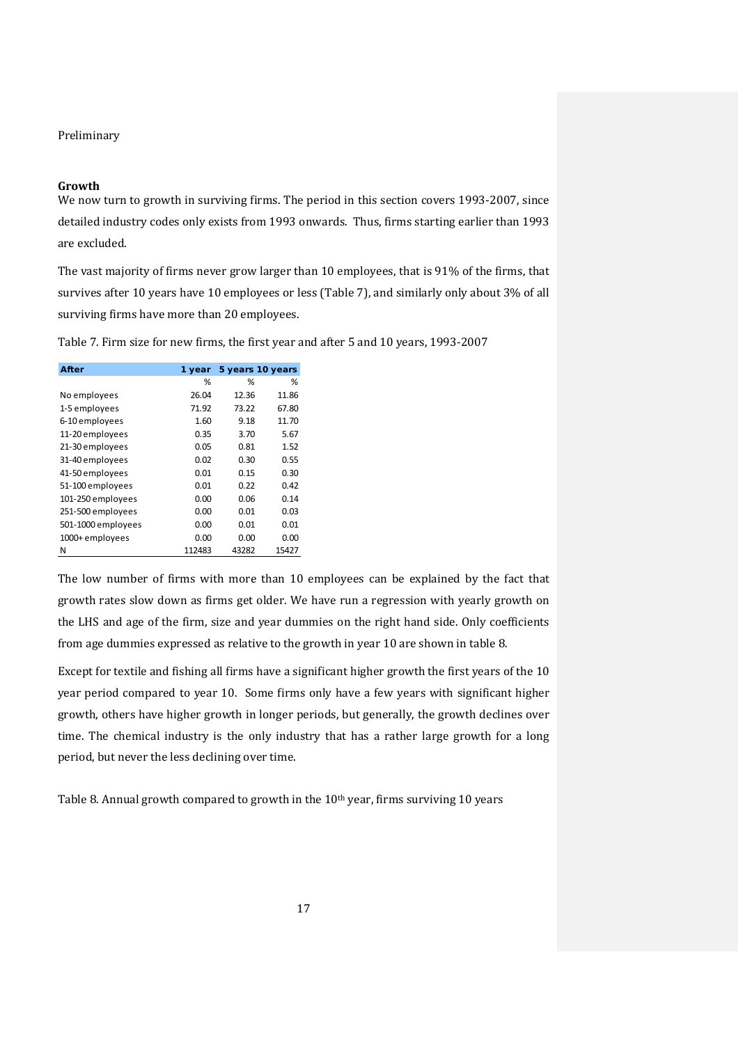# **Growth**

We now turn to growth in surviving firms. The period in this section covers 1993-2007, since detailed industry codes only exists from 1993 onwards. Thus, firms starting earlier than 1993 are excluded.

The vast majority of firms never grow larger than 10 employees, that is 91% of the firms, that survives after 10 years have 10 employees or less (Table 7), and similarly only about 3% of all surviving firms have more than 20 employees.

| After             | 1 year | 5 years 10 years |       |
|-------------------|--------|------------------|-------|
|                   | %      | ℅                | %     |
| No employees      | 26.04  | 12.36            | 11.86 |
| 1-5 employees     | 71.92  | 73.22            | 67.80 |
| 6-10 employees    | 1.60   | 9.18             | 11.70 |
| 11-20 employees   | 0.35   | 3.70             | 5.67  |
| 21-30 employees   | 0.05   | 0.81             | 1.52  |
| 31-40 employees   | 0.02   | 0.30             | 0.55  |
| 41-50 employees   | 0.01   | 0.15             | 0.30  |
| 51-100 employees  | 0.01   | 0.22             | 0.42  |
| 101-250 employees | 0.00   | 0.06             | 0.14  |
| 251-500 employees | 0.00   | 0.01             | 0.03  |

501-1000 employees 0.00 0.01 0.01 1000+ employees 0.00 0.00 0.00 N 112483 43282 15427

Table 7. Firm size for new firms, the first year and after 5 and 10 years, 1993-2007

The low number of firms with more than 10 employees can be explained by the fact that growth rates slow down as firms get older. We have run a regression with yearly growth on the LHS and age of the firm, size and year dummies on the right hand side. Only coefficients from age dummies expressed as relative to the growth in year 10 are shown in table 8.

Except for textile and fishing all firms have a significant higher growth the first years of the 10 year period compared to year 10. Some firms only have a few years with significant higher growth, others have higher growth in longer periods, but generally, the growth declines over time. The chemical industry is the only industry that has a rather large growth for a long period, but never the less declining over time.

Table 8. Annual growth compared to growth in the  $10<sup>th</sup>$  year, firms surviving 10 years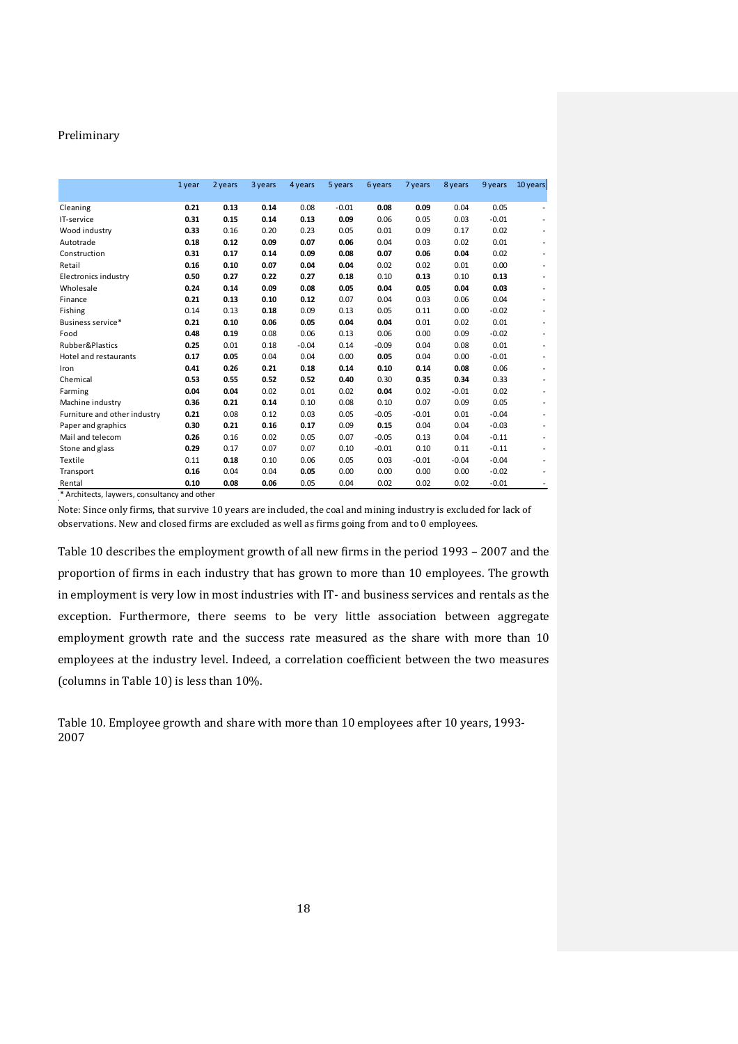|                              | 1 year | 2 years | 3 years | 4 years | 5 years | 6 years | 7 years | 8 years | 9 years | 10 years                     |
|------------------------------|--------|---------|---------|---------|---------|---------|---------|---------|---------|------------------------------|
| Cleaning                     | 0.21   | 0.13    | 0.14    | 0.08    | $-0.01$ | 0.08    | 0.09    | 0.04    | 0.05    | ۰                            |
| IT-service                   | 0.31   | 0.15    | 0.14    | 0.13    | 0.09    | 0.06    | 0.05    | 0.03    | $-0.01$ | -                            |
| Wood industry                | 0.33   | 0.16    | 0.20    | 0.23    | 0.05    | 0.01    | 0.09    | 0.17    | 0.02    | $\overline{\phantom{0}}$     |
| Autotrade                    | 0.18   | 0.12    | 0.09    | 0.07    | 0.06    | 0.04    | 0.03    | 0.02    | 0.01    | -                            |
| Construction                 | 0.31   | 0.17    | 0.14    | 0.09    | 0.08    | 0.07    | 0.06    | 0.04    | 0.02    | -                            |
| Retail                       | 0.16   | 0.10    | 0.07    | 0.04    | 0.04    | 0.02    | 0.02    | 0.01    | 0.00    | $\qquad \qquad \blacksquare$ |
| Electronics industry         | 0.50   | 0.27    | 0.22    | 0.27    | 0.18    | 0.10    | 0.13    | 0.10    | 0.13    | -                            |
| Wholesale                    | 0.24   | 0.14    | 0.09    | 0.08    | 0.05    | 0.04    | 0.05    | 0.04    | 0.03    | -                            |
| Finance                      | 0.21   | 0.13    | 0.10    | 0.12    | 0.07    | 0.04    | 0.03    | 0.06    | 0.04    | -                            |
| Fishing                      | 0.14   | 0.13    | 0.18    | 0.09    | 0.13    | 0.05    | 0.11    | 0.00    | $-0.02$ | -                            |
| Business service*            | 0.21   | 0.10    | 0.06    | 0.05    | 0.04    | 0.04    | 0.01    | 0.02    | 0.01    | $\overline{\phantom{0}}$     |
| Food                         | 0.48   | 0.19    | 0.08    | 0.06    | 0.13    | 0.06    | 0.00    | 0.09    | $-0.02$ | -                            |
| Rubber&Plastics              | 0.25   | 0.01    | 0.18    | $-0.04$ | 0.14    | $-0.09$ | 0.04    | 0.08    | 0.01    | -                            |
| Hotel and restaurants        | 0.17   | 0.05    | 0.04    | 0.04    | 0.00    | 0.05    | 0.04    | 0.00    | $-0.01$ | $\overline{\phantom{0}}$     |
| Iron                         | 0.41   | 0.26    | 0.21    | 0.18    | 0.14    | 0.10    | 0.14    | 0.08    | 0.06    | -                            |
| Chemical                     | 0.53   | 0.55    | 0.52    | 0.52    | 0.40    | 0.30    | 0.35    | 0.34    | 0.33    | -                            |
| Farming                      | 0.04   | 0.04    | 0.02    | 0.01    | 0.02    | 0.04    | 0.02    | $-0.01$ | 0.02    | -                            |
| Machine industry             | 0.36   | 0.21    | 0.14    | 0.10    | 0.08    | 0.10    | 0.07    | 0.09    | 0.05    | -                            |
| Furniture and other industry | 0.21   | 0.08    | 0.12    | 0.03    | 0.05    | $-0.05$ | $-0.01$ | 0.01    | $-0.04$ | -                            |
| Paper and graphics           | 0.30   | 0.21    | 0.16    | 0.17    | 0.09    | 0.15    | 0.04    | 0.04    | $-0.03$ | -                            |
| Mail and telecom             | 0.26   | 0.16    | 0.02    | 0.05    | 0.07    | $-0.05$ | 0.13    | 0.04    | $-0.11$ | -                            |
| Stone and glass              | 0.29   | 0.17    | 0.07    | 0.07    | 0.10    | $-0.01$ | 0.10    | 0.11    | $-0.11$ | -                            |
| Textile                      | 0.11   | 0.18    | 0.10    | 0.06    | 0.05    | 0.03    | $-0.01$ | $-0.04$ | $-0.04$ | -                            |
| Transport                    | 0.16   | 0.04    | 0.04    | 0.05    | 0.00    | 0.00    | 0.00    | 0.00    | $-0.02$ |                              |
| Rental                       | 0.10   | 0.08    | 0.06    | 0.05    | 0.04    | 0.02    | 0.02    | 0.02    | $-0.01$ |                              |

\* Architects, laywers, consultancy and other

Note: Since only firms, that survive 10 years are included, the coal and mining industry is excluded for lack of observations. New and closed firms are excluded as well as firms going from and to 0 employees.

Table 10 describes the employment growth of all new firms in the period 1993 – 2007 and the proportion of firms in each industry that has grown to more than 10 employees. The growth in employment is very low in most industries with IT- and business services and rentals as the exception. Furthermore, there seems to be very little association between aggregate employment growth rate and the success rate measured as the share with more than 10 employees at the industry level. Indeed, a correlation coefficient between the two measures (columns in Table 10) is less than 10%.

Table 10. Employee growth and share with more than 10 employees after 10 years, 1993- 2007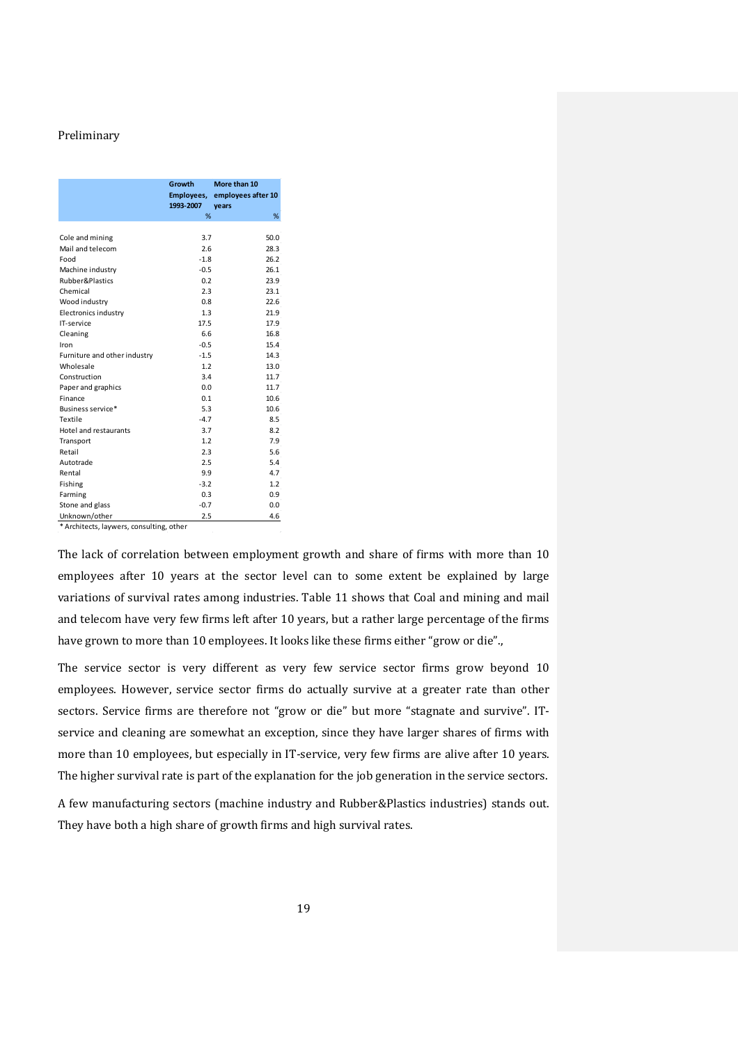|                                       | Growth<br><b>Employees,</b><br>1993-2007 | More than 10<br>employees after 10<br>years |
|---------------------------------------|------------------------------------------|---------------------------------------------|
|                                       | %                                        | %                                           |
| Cole and mining                       | 3.7                                      | 50.0                                        |
| Mail and telecom                      | 2.6                                      | 28.3                                        |
| Food                                  | $-1.8$                                   | 26.2                                        |
| Machine industry                      | $-0.5$                                   | 26.1                                        |
| <b>Rubber&amp;Plastics</b>            | 0.2                                      | 23.9                                        |
| Chemical                              | 2.3                                      | 23.1                                        |
| Wood industry                         | 0.8                                      | 22.6                                        |
| Electronics industry                  | 1.3                                      | 21.9                                        |
| IT-service                            | 17.5                                     | 17.9                                        |
| Cleaning                              | 6.6                                      | 16.8                                        |
| Iron                                  | $-0.5$                                   | 15.4                                        |
| Furniture and other industry          | $-1.5$                                   | 14.3                                        |
| Wholesale                             | 1.2                                      | 13.0                                        |
| Construction                          | 3.4                                      | 11.7                                        |
| Paper and graphics                    | 0.0                                      | 11.7                                        |
| Finance                               | 0.1                                      | 10.6                                        |
| Business service*                     | 5.3                                      | 10.6                                        |
| Textile                               | $-4.7$                                   | 8.5                                         |
| Hotel and restaurants                 | 3.7                                      | 8.2                                         |
| Transport                             | 1.2                                      | 7.9                                         |
| Retail                                | 2.3                                      | 5.6                                         |
| Autotrade                             | 2.5                                      | 5.4                                         |
| Rental                                | 9.9                                      | 4.7                                         |
| Fishing                               | $-3.2$                                   | 1.2                                         |
| Farming                               | 0.3                                      | 0.9                                         |
| Stone and glass                       | $-0.7$                                   | 0.0                                         |
| Unknown/other                         | 2.5                                      | 4.6                                         |
| * Architects Jaywers consulting other |                                          |                                             |

The lack of correlation between employment growth and share of firms with more than 10 employees after 10 years at the sector level can to some extent be explained by large variations of survival rates among industries. Table 11 shows that Coal and mining and mail and telecom have very few firms left after 10 years, but a rather large percentage of the firms have grown to more than 10 employees. It looks like these firms either "grow or die".,

The service sector is very different as very few service sector firms grow beyond 10 employees. However, service sector firms do actually survive at a greater rate than other sectors. Service firms are therefore not "grow or die" but more "stagnate and survive". ITservice and cleaning are somewhat an exception, since they have larger shares of firms with more than 10 employees, but especially in IT-service, very few firms are alive after 10 years. The higher survival rate is part of the explanation for the job generation in the service sectors.

A few manufacturing sectors (machine industry and Rubber&Plastics industries) stands out. They have both a high share of growth firms and high survival rates.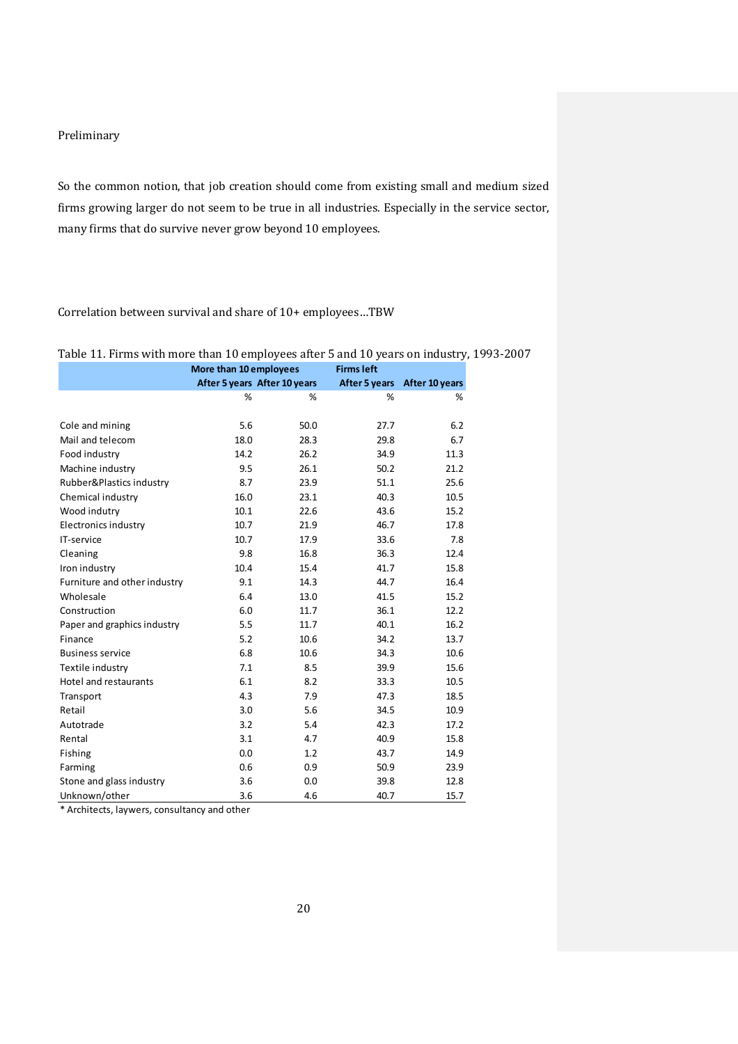So the common notion, that job creation should come from existing small and medium sized firms growing larger do not seem to be true in all industries. Especially in the service sector, many firms that do survive never grow beyond 10 employees.

Correlation between survival and share of 10+ employees…TBW

|                              | More than 10 employees       |      | <b>Firms left</b> |                |
|------------------------------|------------------------------|------|-------------------|----------------|
|                              | After 5 years After 10 years |      | After 5 years     | After 10 years |
|                              | %                            | %    | %                 | %              |
|                              |                              |      |                   |                |
| Cole and mining              | 5.6                          | 50.0 | 27.7              | 6.2            |
| Mail and telecom             | 18.0                         | 28.3 | 29.8              | 6.7            |
| Food industry                | 14.2                         | 26.2 | 34.9              | 11.3           |
| Machine industry             | 9.5                          | 26.1 | 50.2              | 21.2           |
| Rubber&Plastics industry     | 8.7                          | 23.9 | 51.1              | 25.6           |
| Chemical industry            | 16.0                         | 23.1 | 40.3              | 10.5           |
| Wood indutry                 | 10.1                         | 22.6 | 43.6              | 15.2           |
| Electronics industry         | 10.7                         | 21.9 | 46.7              | 17.8           |
| IT-service                   | 10.7                         | 17.9 | 33.6              | 7.8            |
| Cleaning                     | 9.8                          | 16.8 | 36.3              | 12.4           |
| Iron industry                | 10.4                         | 15.4 | 41.7              | 15.8           |
| Furniture and other industry | 9.1                          | 14.3 | 44.7              | 16.4           |
| Wholesale                    | 6.4                          | 13.0 | 41.5              | 15.2           |
| Construction                 | 6.0                          | 11.7 | 36.1              | 12.2           |
| Paper and graphics industry  | 5.5                          | 11.7 | 40.1              | 16.2           |
| Finance                      | 5.2                          | 10.6 | 34.2              | 13.7           |
| <b>Business service</b>      | 6.8                          | 10.6 | 34.3              | 10.6           |
| Textile industry             | 7.1                          | 8.5  | 39.9              | 15.6           |
| Hotel and restaurants        | 6.1                          | 8.2  | 33.3              | 10.5           |
| Transport                    | 4.3                          | 7.9  | 47.3              | 18.5           |
| Retail                       | 3.0                          | 5.6  | 34.5              | 10.9           |
| Autotrade                    | 3.2                          | 5.4  | 42.3              | 17.2           |
| Rental                       | 3.1                          | 4.7  | 40.9              | 15.8           |
| Fishing                      | 0.0                          | 1.2  | 43.7              | 14.9           |
| Farming                      | 0.6                          | 0.9  | 50.9              | 23.9           |
| Stone and glass industry     | 3.6                          | 0.0  | 39.8              | 12.8           |
| Unknown/other                | 3.6                          | 4.6  | 40.7              | 15.7           |

|  |  | Table 11. Firms with more than 10 employees after 5 and 10 years on industry, 1993-2007 |  |  |  |
|--|--|-----------------------------------------------------------------------------------------|--|--|--|
|  |  |                                                                                         |  |  |  |

\* Architects, laywers, consultancy and other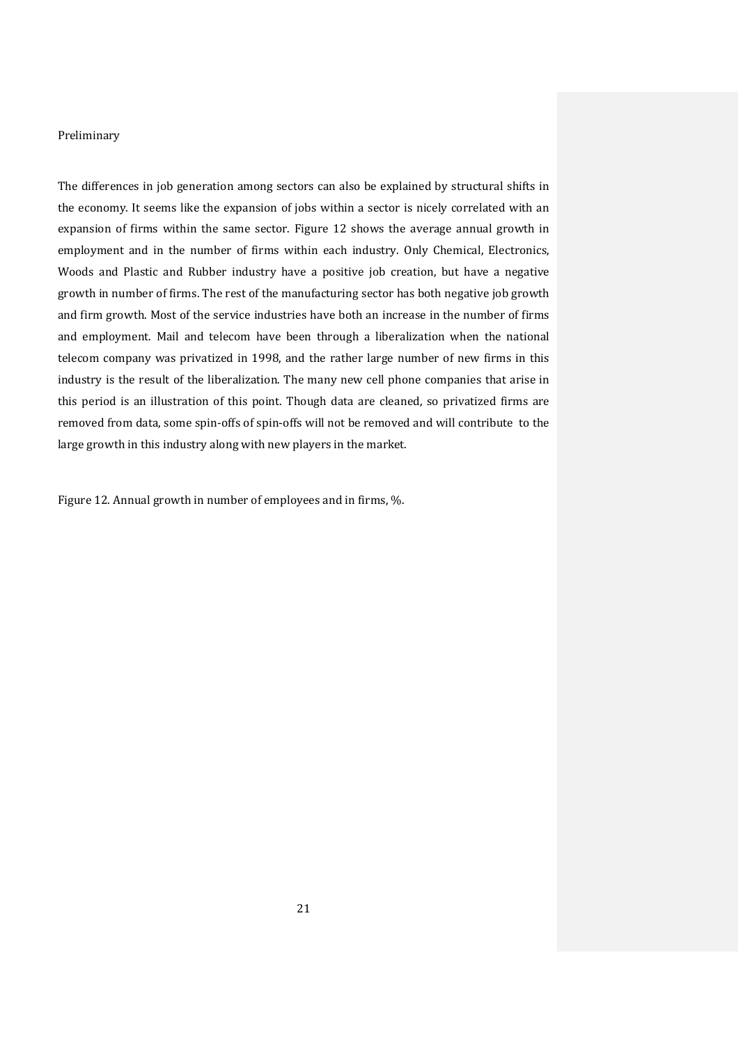The differences in job generation among sectors can also be explained by structural shifts in the economy. It seems like the expansion of jobs within a sector is nicely correlated with an expansion of firms within the same sector. Figure 12 shows the average annual growth in employment and in the number of firms within each industry. Only Chemical, Electronics, Woods and Plastic and Rubber industry have a positive job creation, but have a negative growth in number of firms. The rest of the manufacturing sector has both negative job growth and firm growth. Most of the service industries have both an increase in the number of firms and employment. Mail and telecom have been through a liberalization when the national telecom company was privatized in 1998, and the rather large number of new firms in this industry is the result of the liberalization. The many new cell phone companies that arise in this period is an illustration of this point. Though data are cleaned, so privatized firms are removed from data, some spin-offs of spin-offs will not be removed and will contribute to the large growth in this industry along with new players in the market.

Figure 12. Annual growth in number of employees and in firms, %.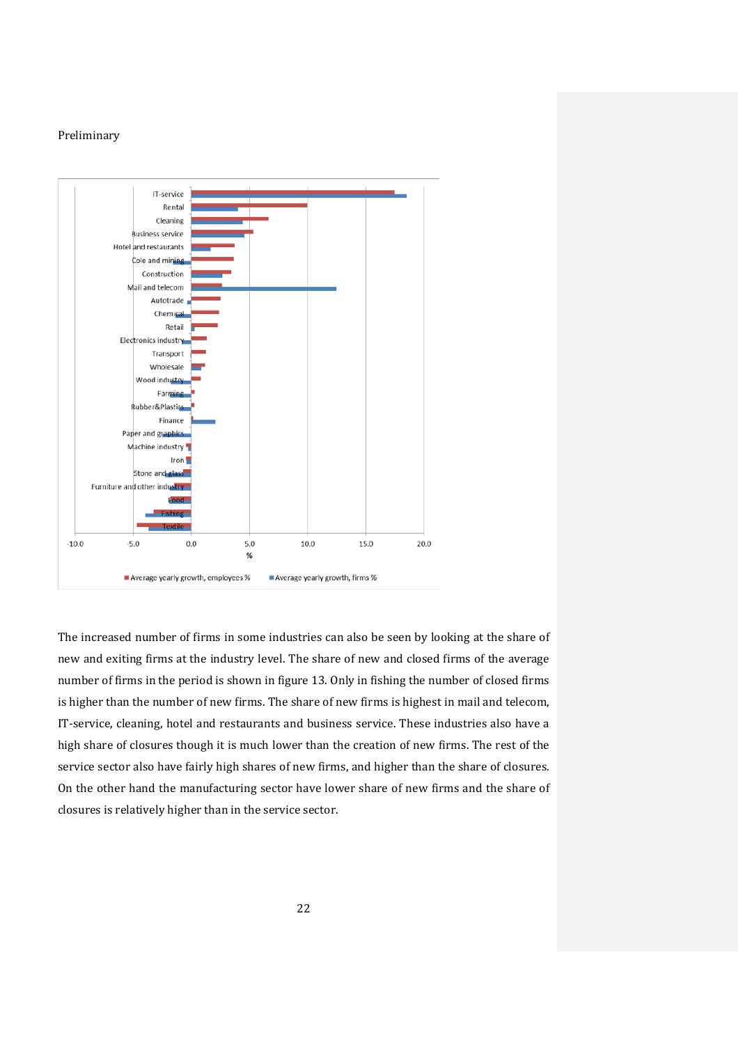

The increased number of firms in some industries can also be seen by looking at the share of new and exiting firms at the industry level. The share of new and closed firms of the average number of firms in the period is shown in figure 13. Only in fishing the number of closed firms is higher than the number of new firms. The share of new firms is highest in mail and telecom, IT-service, cleaning, hotel and restaurants and business service. These industries also have a high share of closures though it is much lower than the creation of new firms. The rest of the service sector also have fairly high shares of new firms, and higher than the share of closures. On the other hand the manufacturing sector have lower share of new firms and the share of closures is relatively higher than in the service sector.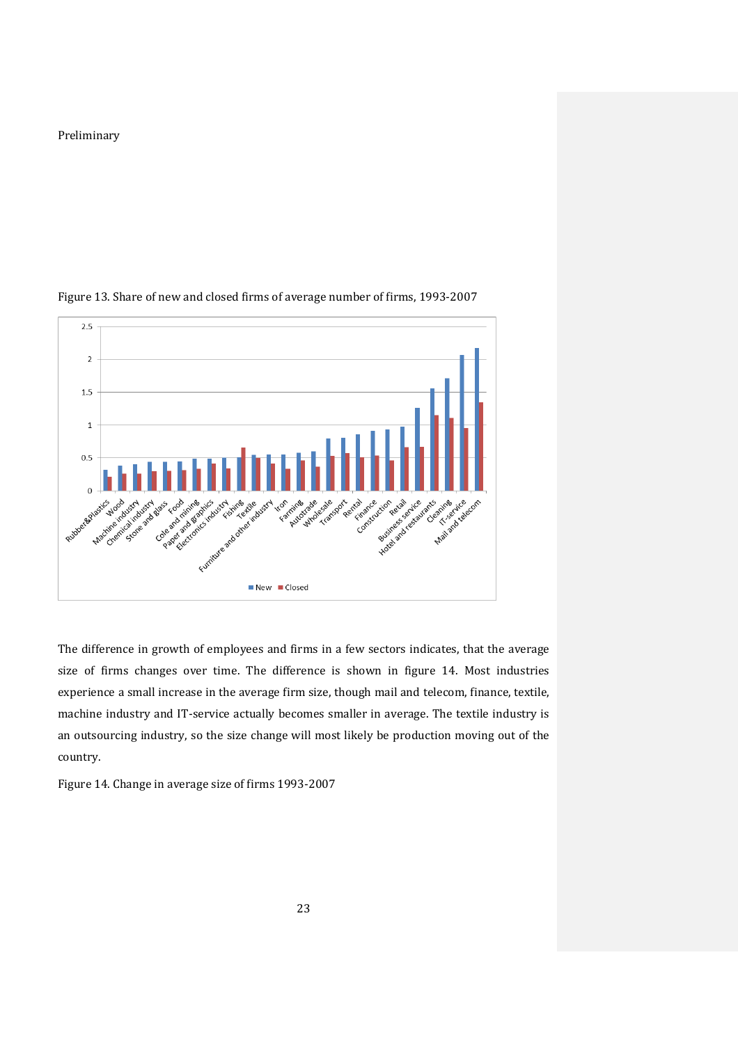

Figure 13. Share of new and closed firms of average number of firms, 1993-2007

The difference in growth of employees and firms in a few sectors indicates, that the average size of firms changes over time. The difference is shown in figure 14. Most industries experience a small increase in the average firm size, though mail and telecom, finance, textile, machine industry and IT-service actually becomes smaller in average. The textile industry is an outsourcing industry, so the size change will most likely be production moving out of the country.

Figure 14. Change in average size of firms 1993-2007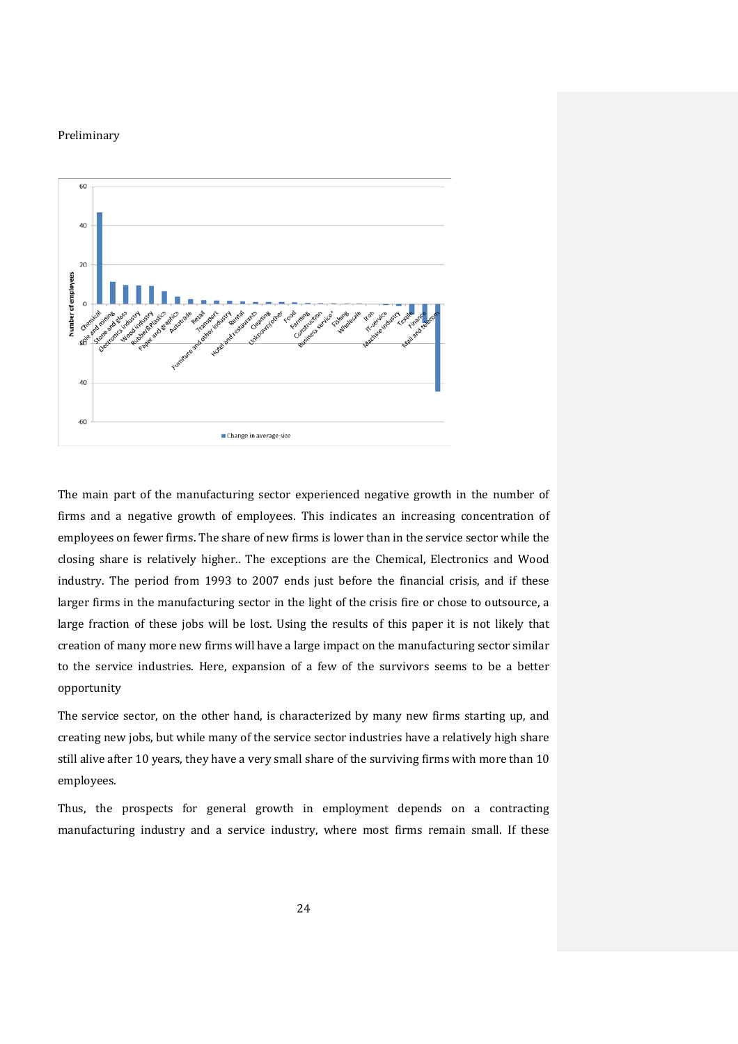

The main part of the manufacturing sector experienced negative growth in the number of firms and a negative growth of employees. This indicates an increasing concentration of employees on fewer firms. The share of new firms is lower than in the service sector while the closing share is relatively higher.. The exceptions are the Chemical, Electronics and Wood industry. The period from 1993 to 2007 ends just before the financial crisis, and if these larger firms in the manufacturing sector in the light of the crisis fire or chose to outsource, a large fraction of these jobs will be lost. Using the results of this paper it is not likely that creation of many more new firms will have a large impact on the manufacturing sector similar to the service industries. Here, expansion of a few of the survivors seems to be a better opportunity

The service sector, on the other hand, is characterized by many new firms starting up, and creating new jobs, but while many of the service sector industries have a relatively high share still alive after 10 years, they have a very small share of the surviving firms with more than 10 employees.

Thus, the prospects for general growth in employment depends on a contracting manufacturing industry and a service industry, where most firms remain small. If these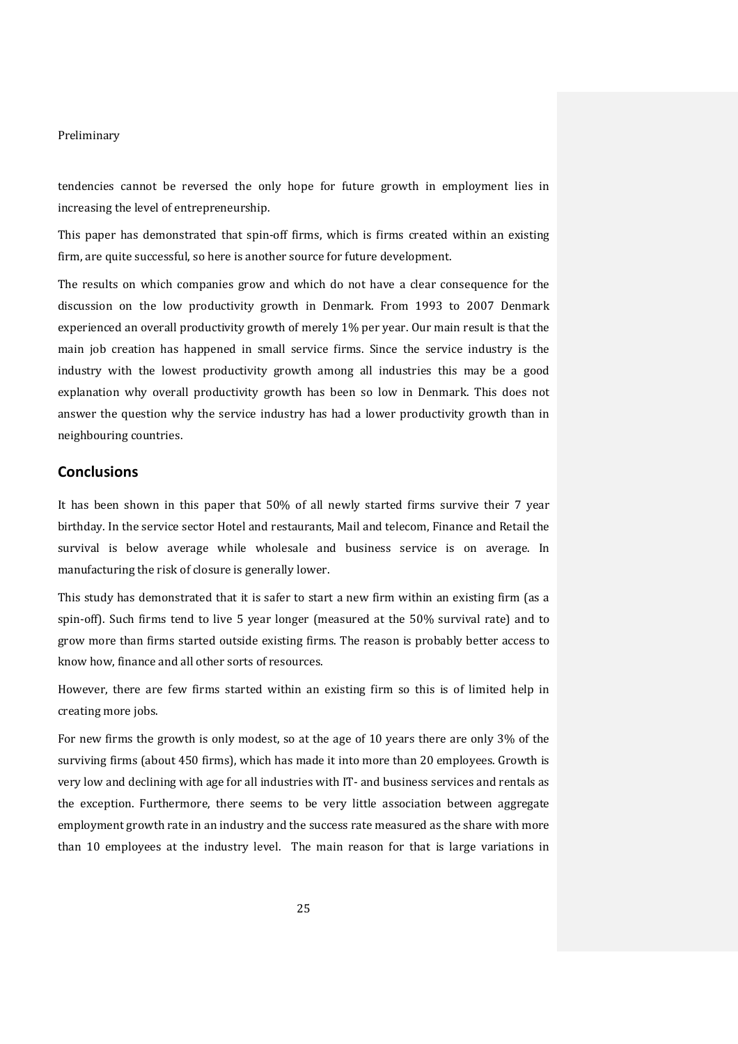tendencies cannot be reversed the only hope for future growth in employment lies in increasing the level of entrepreneurship.

This paper has demonstrated that spin-off firms, which is firms created within an existing firm, are quite successful, so here is another source for future development.

The results on which companies grow and which do not have a clear consequence for the discussion on the low productivity growth in Denmark. From 1993 to 2007 Denmark experienced an overall productivity growth of merely 1% per year. Our main result is that the main job creation has happened in small service firms. Since the service industry is the industry with the lowest productivity growth among all industries this may be a good explanation why overall productivity growth has been so low in Denmark. This does not answer the question why the service industry has had a lower productivity growth than in neighbouring countries.

# **Conclusions**

It has been shown in this paper that 50% of all newly started firms survive their 7 year birthday. In the service sector Hotel and restaurants, Mail and telecom, Finance and Retail the survival is below average while wholesale and business service is on average. In manufacturing the risk of closure is generally lower.

This study has demonstrated that it is safer to start a new firm within an existing firm (as a spin-off). Such firms tend to live 5 year longer (measured at the 50% survival rate) and to grow more than firms started outside existing firms. The reason is probably better access to know how, finance and all other sorts of resources.

However, there are few firms started within an existing firm so this is of limited help in creating more jobs.

For new firms the growth is only modest, so at the age of 10 years there are only 3% of the surviving firms (about 450 firms), which has made it into more than 20 employees. Growth is very low and declining with age for all industries with IT- and business services and rentals as the exception. Furthermore, there seems to be very little association between aggregate employment growth rate in an industry and the success rate measured as the share with more than 10 employees at the industry level. The main reason for that is large variations in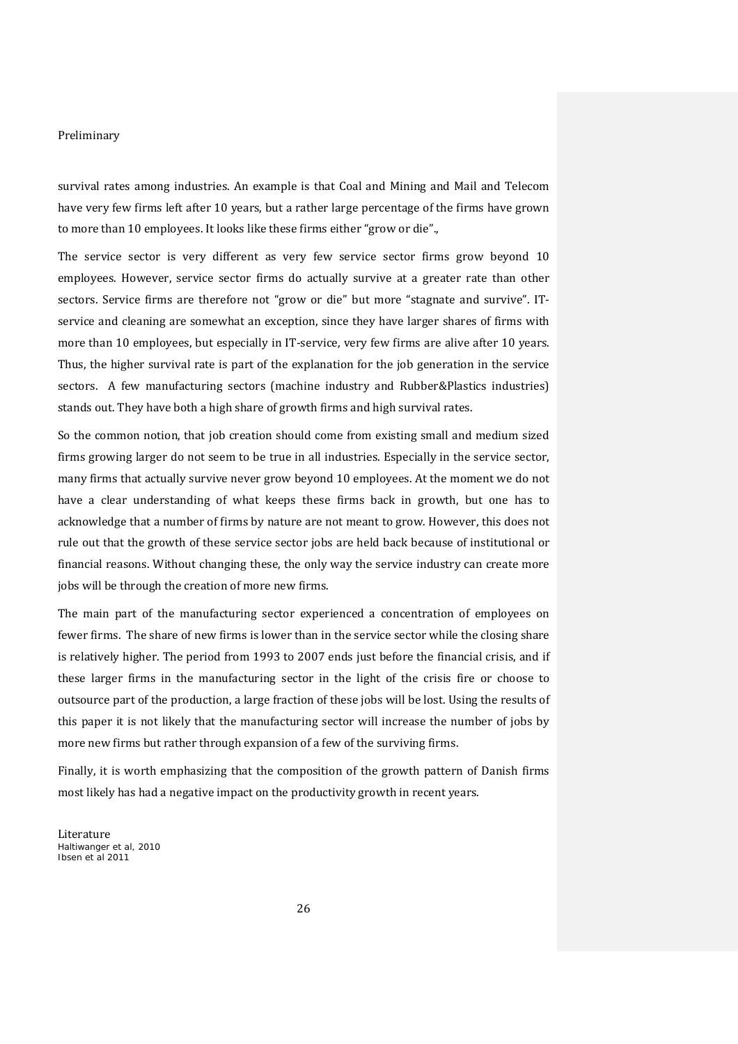survival rates among industries. An example is that Coal and Mining and Mail and Telecom have very few firms left after 10 years, but a rather large percentage of the firms have grown to more than 10 employees. It looks like these firms either "grow or die".,

The service sector is very different as very few service sector firms grow beyond 10 employees. However, service sector firms do actually survive at a greater rate than other sectors. Service firms are therefore not "grow or die" but more "stagnate and survive". ITservice and cleaning are somewhat an exception, since they have larger shares of firms with more than 10 employees, but especially in IT-service, very few firms are alive after 10 years. Thus, the higher survival rate is part of the explanation for the job generation in the service sectors. A few manufacturing sectors (machine industry and Rubber&Plastics industries) stands out. They have both a high share of growth firms and high survival rates.

So the common notion, that job creation should come from existing small and medium sized firms growing larger do not seem to be true in all industries. Especially in the service sector, many firms that actually survive never grow beyond 10 employees. At the moment we do not have a clear understanding of what keeps these firms back in growth, but one has to acknowledge that a number of firms by nature are not meant to grow. However, this does not rule out that the growth of these service sector jobs are held back because of institutional or financial reasons. Without changing these, the only way the service industry can create more jobs will be through the creation of more new firms.

The main part of the manufacturing sector experienced a concentration of employees on fewer firms. The share of new firms is lower than in the service sector while the closing share is relatively higher. The period from 1993 to 2007 ends just before the financial crisis, and if these larger firms in the manufacturing sector in the light of the crisis fire or choose to outsource part of the production, a large fraction of these jobs will be lost. Using the results of this paper it is not likely that the manufacturing sector will increase the number of jobs by more new firms but rather through expansion of a few of the surviving firms.

Finally, it is worth emphasizing that the composition of the growth pattern of Danish firms most likely has had a negative impact on the productivity growth in recent years.

Literature Haltiwanger et al, 2010 Ibsen et al 2011